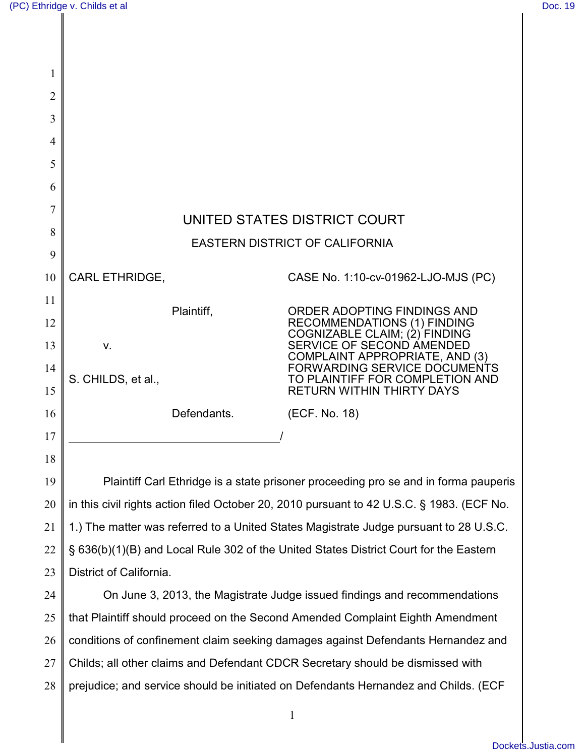| $\overline{2}$ |                                                                                           |             |                                                                 |  |  |
|----------------|-------------------------------------------------------------------------------------------|-------------|-----------------------------------------------------------------|--|--|
| 3              |                                                                                           |             |                                                                 |  |  |
| 4              |                                                                                           |             |                                                                 |  |  |
| 5              |                                                                                           |             |                                                                 |  |  |
| 6              |                                                                                           |             |                                                                 |  |  |
| 7              | UNITED STATES DISTRICT COURT                                                              |             |                                                                 |  |  |
| 8              | <b>EASTERN DISTRICT OF CALIFORNIA</b>                                                     |             |                                                                 |  |  |
| 9              |                                                                                           |             |                                                                 |  |  |
| 10             | <b>CARL ETHRIDGE,</b>                                                                     |             | CASE No. 1:10-cv-01962-LJO-MJS (PC)                             |  |  |
| 11             | Plaintiff,                                                                                |             | ORDER ADOPTING FINDINGS AND                                     |  |  |
| 12             |                                                                                           |             | RECOMMENDATIONS (1) FINDING<br>COGNIZABLE CLAIM; (2) FINDING    |  |  |
| 13             | v.                                                                                        |             | SERVICE OF SECOND AMENDED<br>COMPLAINT APPROPRIATE, AND (3)     |  |  |
| 14             | S. CHILDS, et al.,                                                                        |             | FORWARDING SERVICE DOCUMENTS<br>TO PLAINTIFF FOR COMPLETION AND |  |  |
| 15             |                                                                                           |             | <b>RETURN WITHIN THIRTY DAYS</b>                                |  |  |
| 16             |                                                                                           | Defendants. | (ECF. No. 18)                                                   |  |  |
| 17             |                                                                                           |             |                                                                 |  |  |
| 18             |                                                                                           |             |                                                                 |  |  |
| 19             | Plaintiff Carl Ethridge is a state prisoner proceeding pro se and in forma pauperis       |             |                                                                 |  |  |
| 20             | in this civil rights action filed October 20, 2010 pursuant to 42 U.S.C. § 1983. (ECF No. |             |                                                                 |  |  |
| 21             | 1.) The matter was referred to a United States Magistrate Judge pursuant to 28 U.S.C.     |             |                                                                 |  |  |
| 22             | § 636(b)(1)(B) and Local Rule 302 of the United States District Court for the Eastern     |             |                                                                 |  |  |
| 23             | District of California.                                                                   |             |                                                                 |  |  |
| 24             | On June 3, 2013, the Magistrate Judge issued findings and recommendations                 |             |                                                                 |  |  |
| 25             | that Plaintiff should proceed on the Second Amended Complaint Eighth Amendment            |             |                                                                 |  |  |
| 26             | conditions of confinement claim seeking damages against Defendants Hernandez and          |             |                                                                 |  |  |
| 27             | Childs; all other claims and Defendant CDCR Secretary should be dismissed with            |             |                                                                 |  |  |
| 28             | prejudice; and service should be initiated on Defendants Hernandez and Childs. (ECF       |             |                                                                 |  |  |
|                |                                                                                           |             | $\mathbf{1}$                                                    |  |  |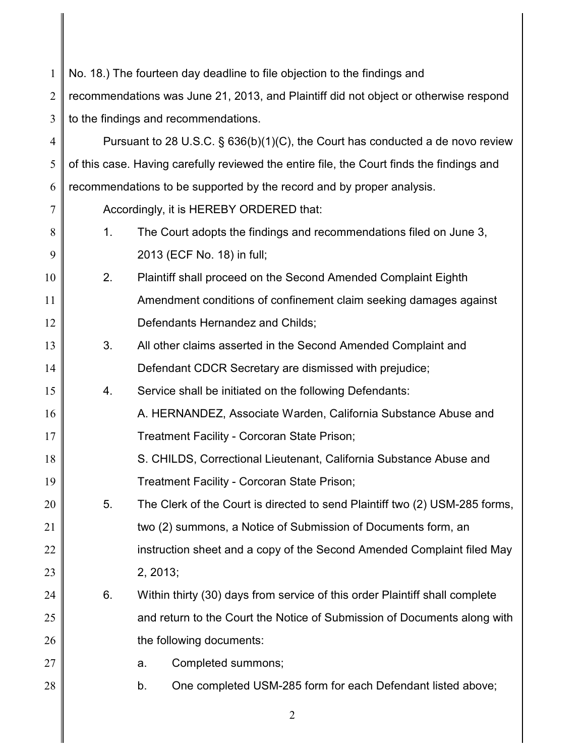| $\mathbf{1}$   | No. 18.) The fourteen day deadline to file objection to the findings and                  |                                                                                   |  |  |
|----------------|-------------------------------------------------------------------------------------------|-----------------------------------------------------------------------------------|--|--|
| $\overline{2}$ | recommendations was June 21, 2013, and Plaintiff did not object or otherwise respond      |                                                                                   |  |  |
| 3              | to the findings and recommendations.                                                      |                                                                                   |  |  |
| $\overline{4}$ |                                                                                           | Pursuant to 28 U.S.C. $\S$ 636(b)(1)(C), the Court has conducted a de novo review |  |  |
| 5              | of this case. Having carefully reviewed the entire file, the Court finds the findings and |                                                                                   |  |  |
| 6              | recommendations to be supported by the record and by proper analysis.                     |                                                                                   |  |  |
| 7              | Accordingly, it is HEREBY ORDERED that:                                                   |                                                                                   |  |  |
| 8              | 1.                                                                                        | The Court adopts the findings and recommendations filed on June 3,                |  |  |
| 9              |                                                                                           | 2013 (ECF No. 18) in full;                                                        |  |  |
| 10             | 2.                                                                                        | Plaintiff shall proceed on the Second Amended Complaint Eighth                    |  |  |
| 11             |                                                                                           | Amendment conditions of confinement claim seeking damages against                 |  |  |
| 12             |                                                                                           | Defendants Hernandez and Childs;                                                  |  |  |
| 13             | 3.                                                                                        | All other claims asserted in the Second Amended Complaint and                     |  |  |
| 14             |                                                                                           | Defendant CDCR Secretary are dismissed with prejudice;                            |  |  |
| 15             | 4.                                                                                        | Service shall be initiated on the following Defendants:                           |  |  |
| 16             |                                                                                           | A. HERNANDEZ, Associate Warden, California Substance Abuse and                    |  |  |
| 17             |                                                                                           | Treatment Facility - Corcoran State Prison;                                       |  |  |
| 18             |                                                                                           | S. CHILDS, Correctional Lieutenant, California Substance Abuse and                |  |  |
| 19             |                                                                                           | Treatment Facility - Corcoran State Prison;                                       |  |  |
| 20             | 5.                                                                                        | The Clerk of the Court is directed to send Plaintiff two (2) USM-285 forms,       |  |  |
| 21             |                                                                                           | two (2) summons, a Notice of Submission of Documents form, an                     |  |  |
| 22             |                                                                                           | instruction sheet and a copy of the Second Amended Complaint filed May            |  |  |
| 23             |                                                                                           | 2, 2013;                                                                          |  |  |
| 24             | 6.                                                                                        | Within thirty (30) days from service of this order Plaintiff shall complete       |  |  |
| 25             |                                                                                           | and return to the Court the Notice of Submission of Documents along with          |  |  |
| 26             | the following documents:                                                                  |                                                                                   |  |  |
| 27             |                                                                                           | Completed summons;<br>a.                                                          |  |  |
| 28             |                                                                                           | One completed USM-285 form for each Defendant listed above;<br>b.                 |  |  |
|                |                                                                                           |                                                                                   |  |  |

2